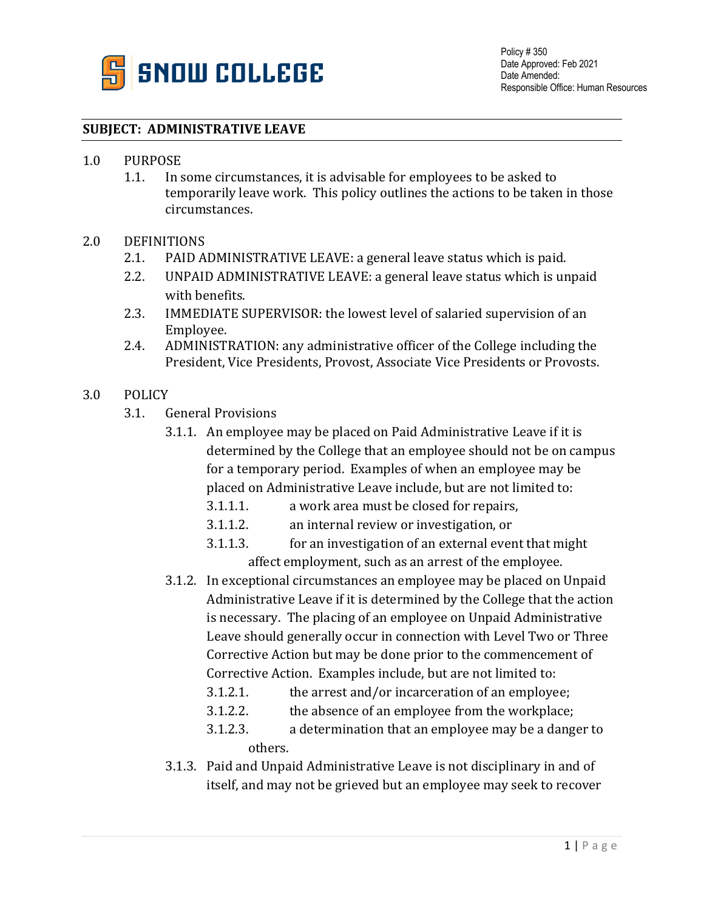

## **SUBJECT: ADMINISTRATIVE LEAVE**

- 1.0 PURPOSE
	- 1.1. In some circumstances, it is advisable for employees to be asked to temporarily leave work. This policy outlines the actions to be taken in those circumstances.
- 2.0 DEFINITIONS
	- 2.1. PAID ADMINISTRATIVE LEAVE: a general leave status which is paid.
	- 2.2. UNPAID ADMINISTRATIVE LEAVE: a general leave status which is unpaid with benefits.
	- 2.3. IMMEDIATE SUPERVISOR: the lowest level of salaried supervision of an Employee.
	- 2.4. ADMINISTRATION: any administrative officer of the College including the President, Vice Presidents, Provost, Associate Vice Presidents or Provosts.
- 3.0 POLICY
	- 3.1. General Provisions
		- 3.1.1. An employee may be placed on Paid Administrative Leave if it is determined by the College that an employee should not be on campus for a temporary period. Examples of when an employee may be placed on Administrative Leave include, but are not limited to:
			- 3.1.1.1. a work area must be closed for repairs,
			- 3.1.1.2. an internal review or investigation, or
			- 3.1.1.3. for an investigation of an external event that might affect employment, such as an arrest of the employee.
		- 3.1.2. In exceptional circumstances an employee may be placed on Unpaid Administrative Leave if it is determined by the College that the action is necessary. The placing of an employee on Unpaid Administrative Leave should generally occur in connection with Level Two or Three Corrective Action but may be done prior to the commencement of Corrective Action. Examples include, but are not limited to:
			- $3.1.2.1.$  the arrest and/or incarceration of an employee;
			- 3.1.2.2. the absence of an employee from the workplace;
			- 3.1.2.3. a determination that an employee may be a danger to others.
		- 3.1.3. Paid and Unpaid Administrative Leave is not disciplinary in and of itself, and may not be grieved but an employee may seek to recover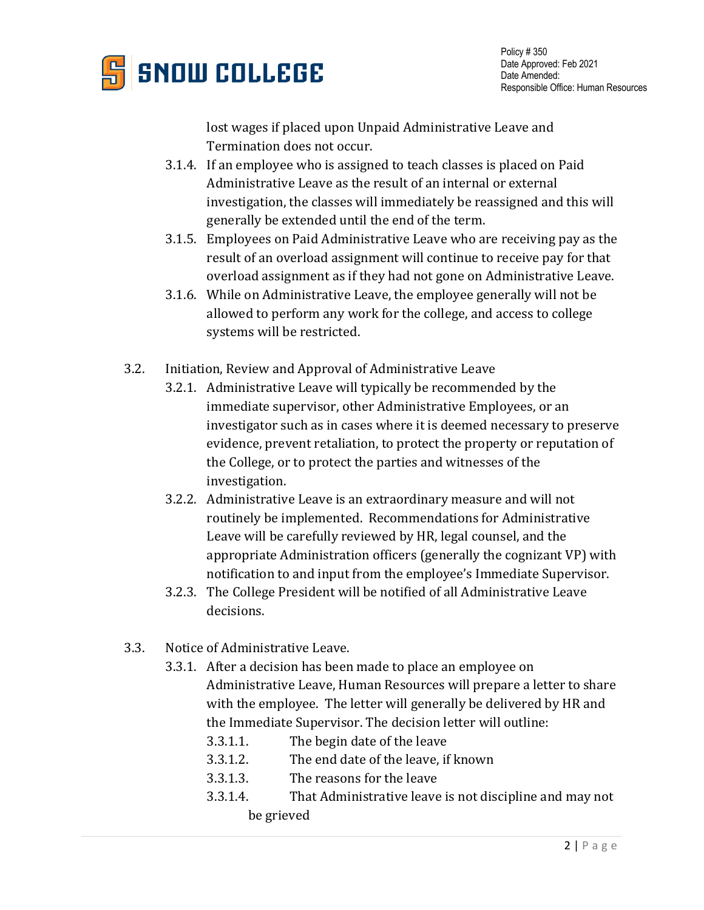

lost wages if placed upon Unpaid Administrative Leave and Termination does not occur.

- 3.1.4. If an employee who is assigned to teach classes is placed on Paid Administrative Leave as the result of an internal or external investigation, the classes will immediately be reassigned and this will generally be extended until the end of the term.
- 3.1.5. Employees on Paid Administrative Leave who are receiving pay as the result of an overload assignment will continue to receive pay for that overload assignment as if they had not gone on Administrative Leave.
- 3.1.6. While on Administrative Leave, the employee generally will not be allowed to perform any work for the college, and access to college systems will be restricted.
- 3.2. Initiation, Review and Approval of Administrative Leave
	- 3.2.1. Administrative Leave will typically be recommended by the immediate supervisor, other Administrative Employees, or an investigator such as in cases where it is deemed necessary to preserve evidence, prevent retaliation, to protect the property or reputation of the College, or to protect the parties and witnesses of the investigation.
	- 3.2.2. Administrative Leave is an extraordinary measure and will not routinely be implemented. Recommendations for Administrative Leave will be carefully reviewed by HR, legal counsel, and the appropriate Administration officers (generally the cognizant VP) with notification to and input from the employee's Immediate Supervisor.
	- 3.2.3. The College President will be notified of all Administrative Leave decisions.
- 3.3. Notice of Administrative Leave.
	- 3.3.1. After a decision has been made to place an employee on Administrative Leave, Human Resources will prepare a letter to share with the employee. The letter will generally be delivered by HR and the Immediate Supervisor. The decision letter will outline:
		- 3.3.1.1. The begin date of the leave
		- 3.3.1.2. The end date of the leave, if known
		- 3.3.1.3. The reasons for the leave
		- 3.3.1.4. That Administrative leave is not discipline and may not be grieved